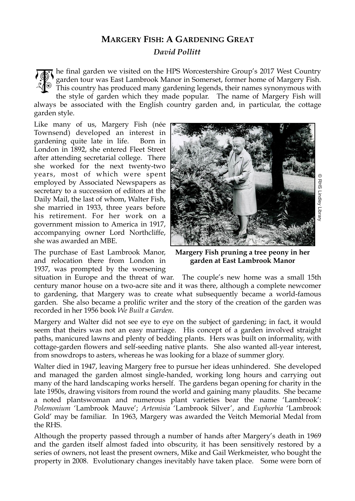## **MARGERY FISH: A GARDENING GREAT**

*David Pollitt*

he final garden we visited on the HPS Worcestershire Group's 2017 West Country garden tour was East Lambrook Manor in Somerset, former home of Margery Fish. This country has produced many gardening legends, their names synonymous with the style of garden which they made popular. The name of Margery Fish will TOK

always be associated with the English country garden and, in particular, the cottage garden style.

Like many of us, Margery Fish (née Townsend) developed an interest in gardening quite late in life. Born in London in 1892, she entered Fleet Street after attending secretarial college. There she worked for the next twenty-two years, most of which were spent employed by Associated Newspapers as secretary to a succession of editors at the Daily Mail, the last of whom, Walter Fish, she married in 1933, three years before his retirement. For her work on a government mission to America in 1917, accompanying owner Lord Northcliffe, she was awarded an MBE.

The purchase of East Lambrook Manor, and relocation there from London in 1937, was prompted by the worsening



**Margery Fish pruning a tree peony in her garden at East Lambrook Manor**

situation in Europe and the threat of war. The couple's new home was a small 15th century manor house on a two-acre site and it was there, although a complete newcomer to gardening, that Margery was to create what subsequently became a world-famous garden. She also became a prolific writer and the story of the creation of the garden was recorded in her 1956 book *We Built a Garden.*

Margery and Walter did not see eye to eye on the subject of gardening; in fact, it would seem that theirs was not an easy marriage. His concept of a garden involved straight paths, manicured lawns and plenty of bedding plants. Hers was built on informality, with cottage-garden flowers and self-seeding native plants. She also wanted all-year interest, from snowdrops to asters, whereas he was looking for a blaze of summer glory.

Walter died in 1947, leaving Margery free to pursue her ideas unhindered. She developed and managed the garden almost single-handed, working long hours and carrying out many of the hard landscaping works herself. The gardens began opening for charity in the late 1950s, drawing visitors from round the world and gaining many plaudits. She became a noted plantswoman and numerous plant varieties bear the name 'Lambrook': *Polemonium* 'Lambrook Mauve'; *Artemisia* 'Lambrook Silver', and *Euphorbia* 'Lambrook Gold' may be familiar. In 1963, Margery was awarded the Veitch Memorial Medal from the RHS. years, "most or which were spent the spent of the based and the spent of the particles are taken in 1993. The spent of the purish of the purish of the purish of the purish in terminant mission of Cali Lambrook Manor accomp

Although the property passed through a number of hands after Margery's death in 1969 and the garden itself almost faded into obscurity, it has been sensitively restored by a series of owners, not least the present owners, Mike and Gail Werkmeister, who bought the